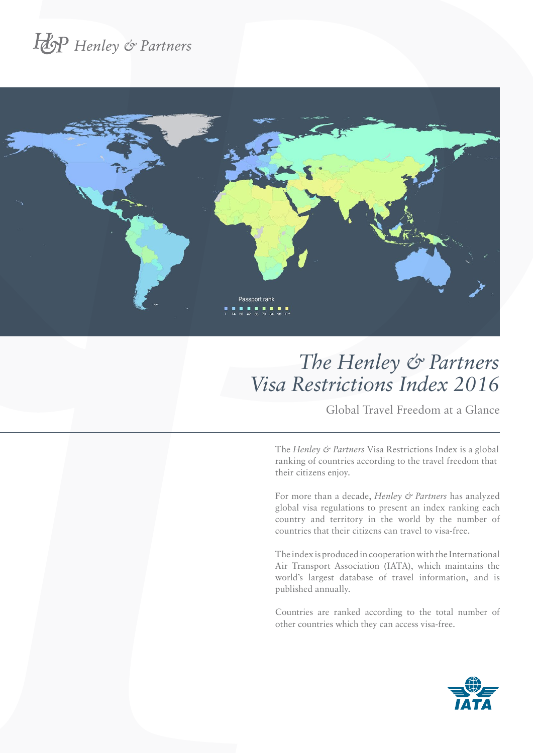# Hop Henley & Partners



### *The Henley & Partners Visa Restrictions Index 2016*

Global Travel Freedom at a Glance

The *Henley & Partners* Visa Restrictions Index is a global ranking of countries according to the travel freedom that their citizens enjoy.

For more than a decade, *Henley & Partners* has analyzed global visa regulations to present an index ranking each country and territory in the world by the number of countries that their citizens can travel to visa-free.

The index is produced in cooperation with the International Air Transport Association (IATA), which maintains the world's largest database of travel information, and is published annually.

Countries are ranked according to the total number of other countries which they can access visa-free.

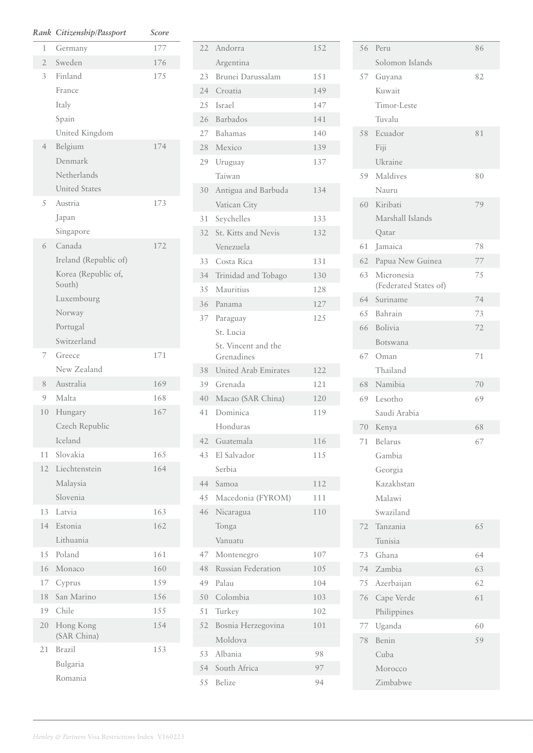| Rank           | Citizenship/Passport    | Score |
|----------------|-------------------------|-------|
| 1              | Germany                 | 177   |
| $\overline{2}$ | Sweden                  | 176   |
| 3              | Finland                 | 175   |
|                | France                  |       |
|                | Italy                   |       |
|                | Spain                   |       |
|                | United Kingdom          |       |
| $\overline{4}$ | Belgium                 | 174   |
|                | Denmark                 |       |
|                | Netherlands             |       |
|                | <b>United States</b>    |       |
| 5              | Austria                 | 173   |
|                | Japan                   |       |
|                | Singapore               |       |
| 6              | Canada                  | 172   |
|                | Ireland (Republic of)   |       |
|                | Korea (Republic of,     |       |
|                | South)                  |       |
|                | Luxembourg              |       |
|                | Norway                  |       |
|                | Portugal<br>Switzerland |       |
| 7              | Greece                  | 171   |
|                | New Zealand             |       |
| 8              | Australia               | 169   |
| 9              | Malta                   | 168   |
| 10             | Hungary                 | 167   |
|                | Czech Republic          |       |
|                | Iceland                 |       |
| 11             | Slovakia                | 165   |
|                | 12 Liechtenstein        | 164   |
|                | Malaysia                |       |
|                | Slovenia                |       |
| 13             | Latvia                  | 163   |
| 14             | Estonia                 | 162   |
|                | Lithuania               |       |
| 15             | Poland                  | 161   |
| 16             | Monaco                  | 160   |
| 17             | Cyprus                  | 159   |
| 18             | San Marino              | 156   |
| 19             | Chile                   | 155   |
| 20             | Hong Kong               | 154   |
|                | (SAR China)             |       |
| 21             | <b>Brazil</b>           | 153   |
|                | Bulgaria                |       |
|                | Romania                 |       |

| 22        | Andorra                     | 152        |
|-----------|-----------------------------|------------|
|           | Argentina                   |            |
| 23        | Brunei Darussalam           | 151        |
|           | 24 Croatia                  | 149        |
|           | 2.5 Israel                  | 147        |
|           | 26 Barbados                 | 141        |
|           | 27 Bahamas                  | 140        |
| 28        | Mexico                      | 139        |
| 29        | Uruguay                     | 137        |
|           | Taiwan                      |            |
| 30        | Antigua and Barbuda         | 134        |
|           | Vatican City                |            |
| 31        | Seychelles                  | 133        |
| 32        | St. Kitts and Nevis         | 132        |
|           | Venezuela                   |            |
|           | 33 Costa Rica               | 131        |
|           | 34 Trinidad and Tobago      | 130        |
|           | 35 Mauritius                | 12.8       |
| 36        | Panama                      | 127        |
| 37        | Paraguay                    | 125        |
|           | St. Lucia                   |            |
|           | St. Vincent and the         |            |
|           | Grenadines                  |            |
|           | 38 United Arab Emirates     | 122        |
|           | 39 Grenada                  | 121<br>120 |
| 40<br>41  | Macao (SAR China)           | 119        |
|           | Dominica                    |            |
| 42        | Honduras<br>Guatemala       |            |
|           | El Salvador                 | 116<br>115 |
| 43        | Serbia                      |            |
|           | Samoa                       | 112        |
| 44<br>4.5 |                             |            |
| 46        | Macedonia (FYROM)           | 111<br>110 |
|           | Nicaragua                   |            |
|           | Tonga<br>Vanuatu            |            |
|           |                             |            |
| 47        | Montenegro                  | 107        |
| 48        | Russian Federation<br>Palau | 105        |
| 49        |                             | 104        |
| 50        | Colombia                    | 103        |
| 51        | Turkey                      | 102        |
| 52        | Bosnia Herzegovina          | 101        |
|           | Moldova                     |            |
| 53        | Albania                     | 98         |
| 54        | South Africa                | 97         |
| 55        | Belize                      | 94         |

| 56 | Peru                                | 86 |
|----|-------------------------------------|----|
|    | Solomon Islands                     |    |
|    | 57 Guyana                           | 82 |
|    | Kuwait                              |    |
|    | Timor-Leste                         |    |
|    | Tuvalu                              |    |
| 58 | Ecuador                             | 81 |
|    | Fiji                                |    |
|    | Ukraine                             |    |
| 59 | Maldives                            | 80 |
|    | Nauru                               |    |
| 60 | Kiribati                            | 79 |
|    | Marshall Islands                    |    |
|    | Qatar                               |    |
| 61 | Jamaica                             | 78 |
| 62 | Papua New Guinea                    | 77 |
| 63 | Micronesia<br>(Federated States of) | 75 |
| 64 | Suriname                            | 74 |
| 65 | Bahrain                             | 73 |
| 66 | Bolivia                             | 72 |
|    | Botswana                            |    |
|    | 67 Oman                             | 71 |
|    | Thailand                            |    |
| 68 | Namibia                             | 70 |
| 69 | Lesotho                             | 69 |
|    | Saudi Arabia                        |    |
|    | 70 Kenya                            | 68 |
| 71 | Belarus                             | 67 |
|    | Gambia                              |    |
|    | Georgia                             |    |
|    | Kazakhstan                          |    |
|    | Malawi                              |    |
|    | Swaziland                           |    |
| 72 | Tanzania                            | 65 |
|    | Tunisia                             |    |
| 73 | Ghana                               | 64 |
| 74 | Zambia                              | 63 |
| 75 | Azerbaijan                          | 62 |
| 76 | Cape Verde                          | 61 |
|    | Philippines                         |    |
| 77 | Uganda                              | 60 |
| 78 | Benin                               | 59 |
|    | Cuba                                |    |
|    | Morocco                             |    |
|    | Zimbabwe                            |    |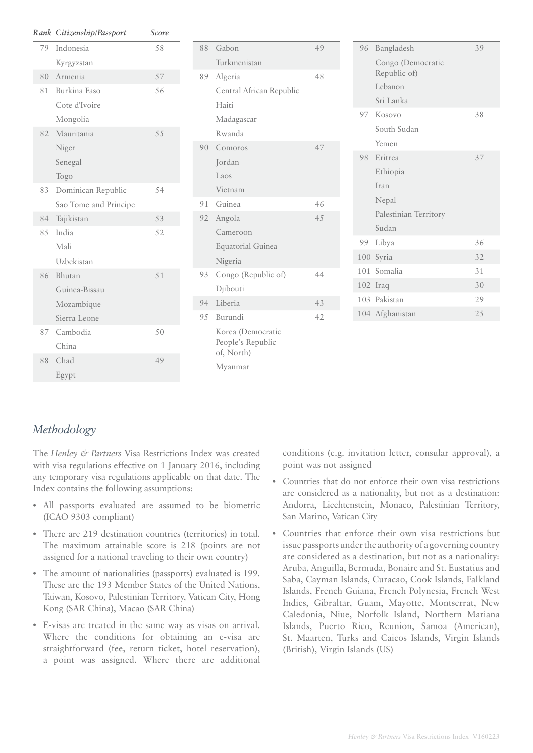|     | Rank Citizenship/Passport | Score |
|-----|---------------------------|-------|
| 79  | Indonesia                 | 58    |
|     | Kyrgyzstan                |       |
| 80  | Armenia                   | 57    |
| 81  | Burkina Faso              | 56    |
|     | Cote d'Ivoire             |       |
|     | Mongolia                  |       |
| 82  | Mauritania                | 55    |
|     | Niger                     |       |
|     | Senegal                   |       |
|     | Togo                      |       |
| 83  | Dominican Republic        | 54    |
|     | Sao Tome and Principe     |       |
| 84  | Tajikistan                | 53    |
| 8.5 | India                     | 52    |
|     | Mali                      |       |
|     | Uzbekistan                |       |
| 86  | Bhutan                    | 51    |
|     | Guinea-Bissau             |       |
|     | Mozambique                |       |
|     | Sierra Leone              |       |
| 87  | Cambodia                  | 50    |
|     | China                     |       |
| 88  | Chad                      | 49    |
|     | Egypt                     |       |

| 88 | Gabon                                                | 49  |
|----|------------------------------------------------------|-----|
|    | Turkmenistan                                         |     |
| 89 | Algeria                                              | 48  |
|    | Central African Republic                             |     |
|    | Haiti                                                |     |
|    | Madagascar                                           |     |
|    | Rwanda                                               |     |
| 90 | Comoros                                              | 47  |
|    | Jordan                                               |     |
|    | Laos                                                 |     |
|    | Vietnam                                              |     |
|    | 91 Guinea                                            | 46  |
|    | 92 Angola                                            | 4.5 |
|    | Cameroon                                             |     |
|    | <b>Equatorial Guinea</b>                             |     |
|    | Nigeria                                              |     |
| 93 | Congo (Republic of)                                  | 44  |
|    | Djibouti                                             |     |
| 94 | Liberia                                              | 43  |
| 95 | Burundi                                              | 42  |
|    | Korea (Democratic<br>People's Republic<br>of, North) |     |
|    | Myanmar                                              |     |

| 96 | Bangladesh                        | 39  |
|----|-----------------------------------|-----|
|    | Congo (Democratic<br>Republic of) |     |
|    | Lebanon                           |     |
|    | Sri Lanka                         |     |
|    | 97 Kosovo                         | 38  |
|    | South Sudan                       |     |
|    | Yemen                             |     |
|    | 98 Eritrea                        | 37  |
|    | Ethiopia                          |     |
|    | Iran                              |     |
|    | Nepal                             |     |
|    | Palestinian Territory             |     |
|    | Sudan                             |     |
| 99 | Libya                             | 36  |
|    | 100 Syria                         | 32  |
|    | 101 Somalia                       | 31  |
|    | 102 Iraq                          | 30  |
|    | 103 Pakistan                      | 29  |
|    | 104 Afghanistan                   | 2.5 |

#### *Methodology*

The *Henley & Partners* Visa Restrictions Index was created with visa regulations effective on 1 January 2016, including any temporary visa regulations applicable on that date. The Index contains the following assumptions:

- All passports evaluated are assumed to be biometric (ICAO 9303 compliant)
- There are 219 destination countries (territories) in total. The maximum attainable score is 218 (points are not assigned for a national traveling to their own country)
- The amount of nationalities (passports) evaluated is 199. These are the 193 Member States of the United Nations, Taiwan, Kosovo, Palestinian Territory, Vatican City, Hong Kong (SAR China), Macao (SAR China)
- E-visas are treated in the same way as visas on arrival. Where the conditions for obtaining an e-visa are straightforward (fee, return ticket, hotel reservation), a point was assigned. Where there are additional

conditions (e.g. invitation letter, consular approval), a point was not assigned

- Countries that do not enforce their own visa restrictions are considered as a nationality, but not as a destination: Andorra, Liechtenstein, Monaco, Palestinian Territory, San Marino, Vatican City
- Countries that enforce their own visa restrictions but issue passports under the authority of a governing country are considered as a destination, but not as a nationality: Aruba, Anguilla, Bermuda, Bonaire and St. Eustatius and Saba, Cayman Islands, Curacao, Cook Islands, Falkland Islands, French Guiana, French Polynesia, French West Indies, Gibraltar, Guam, Mayotte, Montserrat, New Caledonia, Niue, Norfolk Island, Northern Mariana Islands, Puerto Rico, Reunion, Samoa (American), St. Maarten, Turks and Caicos Islands, Virgin Islands (British), Virgin Islands (US)